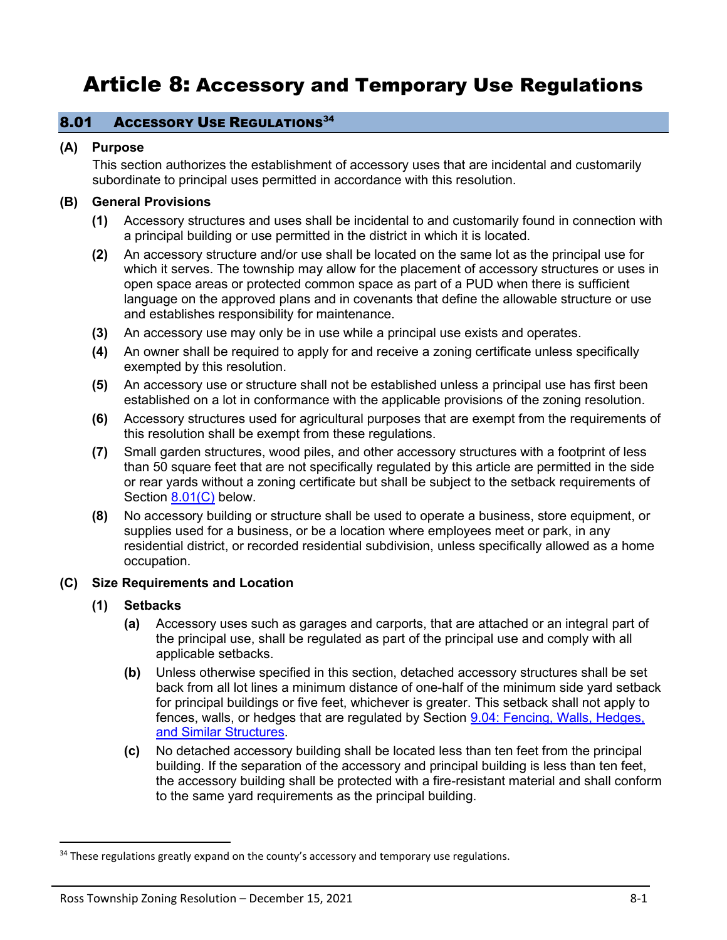# Article 8: Accessory and Temporary Use Regulations

### 8.01 ACCESSORY USE REGULATIONS<sup>34</sup>

### **(A) Purpose**

This section authorizes the establishment of accessory uses that are incidental and customarily subordinate to principal uses permitted in accordance with this resolution.

# **(B) General Provisions**

- **(1)** Accessory structures and uses shall be incidental to and customarily found in connection with a principal building or use permitted in the district in which it is located.
- **(2)** An accessory structure and/or use shall be located on the same lot as the principal use for which it serves. The township may allow for the placement of accessory structures or uses in open space areas or protected common space as part of a PUD when there is sufficient language on the approved plans and in covenants that define the allowable structure or use and establishes responsibility for maintenance.
- **(3)** An accessory use may only be in use while a principal use exists and operates.
- **(4)** An owner shall be required to apply for and receive a zoning certificate unless specifically exempted by this resolution.
- **(5)** An accessory use or structure shall not be established unless a principal use has first been established on a lot in conformance with the applicable provisions of the zoning resolution.
- **(6)** Accessory structures used for agricultural purposes that are exempt from the requirements of this resolution shall be exempt from these regulations.
- **(7)** Small garden structures, wood piles, and other accessory structures with a footprint of less than 50 square feet that are not specifically regulated by this article are permitted in the side or rear yards without a zoning certificate but shall be subject to the setback requirements of Section [8.01\(C\)](#page-0-0) below.
- **(8)** No accessory building or structure shall be used to operate a business, store equipment, or supplies used for a business, or be a location where employees meet or park, in any residential district, or recorded residential subdivision, unless specifically allowed as a home occupation.

#### <span id="page-0-0"></span>**(C) Size Requirements and Location**

# **(1) Setbacks**

- **(a)** Accessory uses such as garages and carports, that are attached or an integral part of the principal use, shall be regulated as part of the principal use and comply with all applicable setbacks.
- **(b)** Unless otherwise specified in this section, detached accessory structures shall be set back from all lot lines a minimum distance of one-half of the minimum side yard setback for principal buildings or five feet, whichever is greater. This setback shall not apply to fences, walls, or hedges that are regulated by Section 9.04: Fencing, Walls, Hedges, and Similar Structures.
- **(c)** No detached accessory building shall be located less than ten feet from the principal building. If the separation of the accessory and principal building is less than ten feet, the accessory building shall be protected with a fire-resistant material and shall conform to the same yard requirements as the principal building.

<sup>&</sup>lt;sup>34</sup> These regulations greatly expand on the county's accessory and temporary use regulations.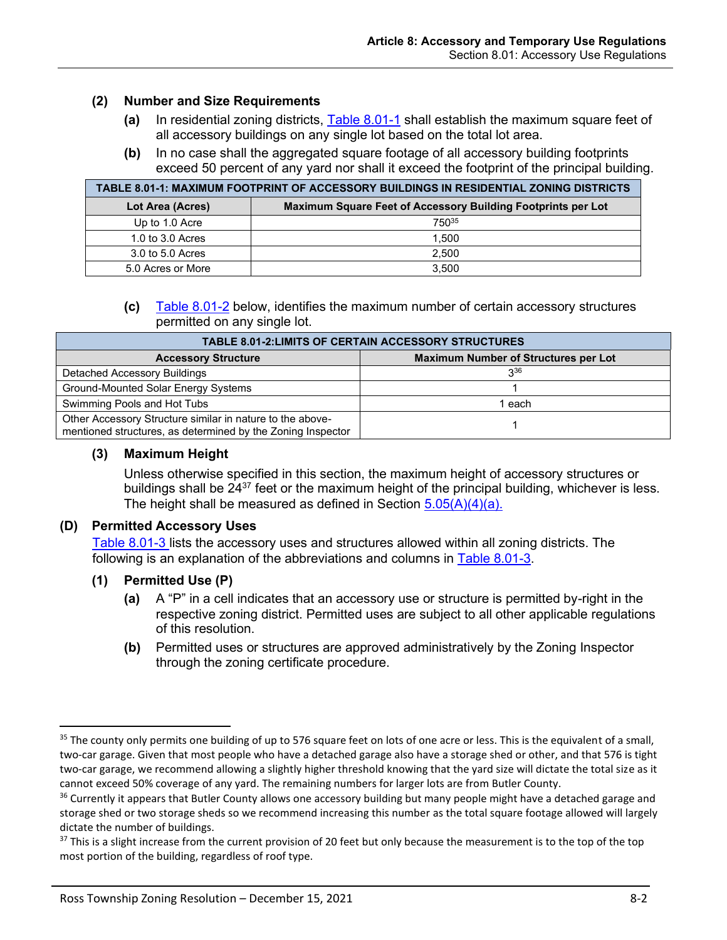#### **(2) Number and Size Requirements**

- **(a)** In residential zoning districts, [Table 8.01-1](#page-1-0) shall establish the maximum square feet of all accessory buildings on any single lot based on the total lot area.
- **(b)** In no case shall the aggregated square footage of all accessory building footprints exceed 50 percent of any yard nor shall it exceed the footprint of the principal building.

<span id="page-1-0"></span>

| TABLE 8.01-1: MAXIMUM FOOTPRINT OF ACCESSORY BUILDINGS IN RESIDENTIAL ZONING DISTRICTS |                                                              |  |  |  |
|----------------------------------------------------------------------------------------|--------------------------------------------------------------|--|--|--|
| Lot Area (Acres)                                                                       | Maximum Square Feet of Accessory Building Footprints per Lot |  |  |  |
| Up to 1.0 Acre                                                                         | 75035                                                        |  |  |  |
| 1.0 to 3.0 Acres                                                                       | 1.500                                                        |  |  |  |
| 3.0 to 5.0 Acres                                                                       | 2.500                                                        |  |  |  |
| 5.0 Acres or More                                                                      | 3.500                                                        |  |  |  |

**(c)** [Table 8.01-2](#page-1-1) below, identifies the maximum number of certain accessory structures permitted on any single lot.

<span id="page-1-1"></span>

| <b>TABLE 8.01-2:LIMITS OF CERTAIN ACCESSORY STRUCTURES</b>                                                               |                                             |  |  |  |  |
|--------------------------------------------------------------------------------------------------------------------------|---------------------------------------------|--|--|--|--|
| <b>Accessory Structure</b>                                                                                               | <b>Maximum Number of Structures per Lot</b> |  |  |  |  |
| Detached Accessory Buildings                                                                                             | $3^{36}$                                    |  |  |  |  |
| Ground-Mounted Solar Energy Systems                                                                                      |                                             |  |  |  |  |
| Swimming Pools and Hot Tubs                                                                                              | 1 each                                      |  |  |  |  |
| Other Accessory Structure similar in nature to the above-<br>mentioned structures, as determined by the Zoning Inspector |                                             |  |  |  |  |

#### **(3) Maximum Height**

Unless otherwise specified in this section, the maximum height of accessory structures or buildings shall be  $24^{37}$  feet or the maximum height of the principal building, whichever is less. The height shall be measured as defined in Section  $5.05(A)(4)(a)$ .

#### <span id="page-1-2"></span>**(D) Permitted Accessory Uses**

[Table 8.01-3](#page-3-0) lists the accessory uses and structures allowed within all zoning districts. The following is an explanation of the abbreviations and columns in [Table 8.01-3.](#page-3-0)

#### **(1) Permitted Use (P)**

- **(a)** A "P" in a cell indicates that an accessory use or structure is permitted by-right in the respective zoning district. Permitted uses are subject to all other applicable regulations of this resolution.
- **(b)** Permitted uses or structures are approved administratively by the Zoning Inspector through the zoning certificate procedure.

<sup>&</sup>lt;sup>35</sup> The county only permits one building of up to 576 square feet on lots of one acre or less. This is the equivalent of a small, two-car garage. Given that most people who have a detached garage also have a storage shed or other, and that 576 is tight two-car garage, we recommend allowing a slightly higher threshold knowing that the yard size will dictate the total size as it cannot exceed 50% coverage of any yard. The remaining numbers for larger lots are from Butler County.

<sup>&</sup>lt;sup>36</sup> Currently it appears that Butler County allows one accessory building but many people might have a detached garage and storage shed or two storage sheds so we recommend increasing this number as the total square footage allowed will largely dictate the number of buildings.

<sup>&</sup>lt;sup>37</sup> This is a slight increase from the current provision of 20 feet but only because the measurement is to the top of the top most portion of the building, regardless of roof type.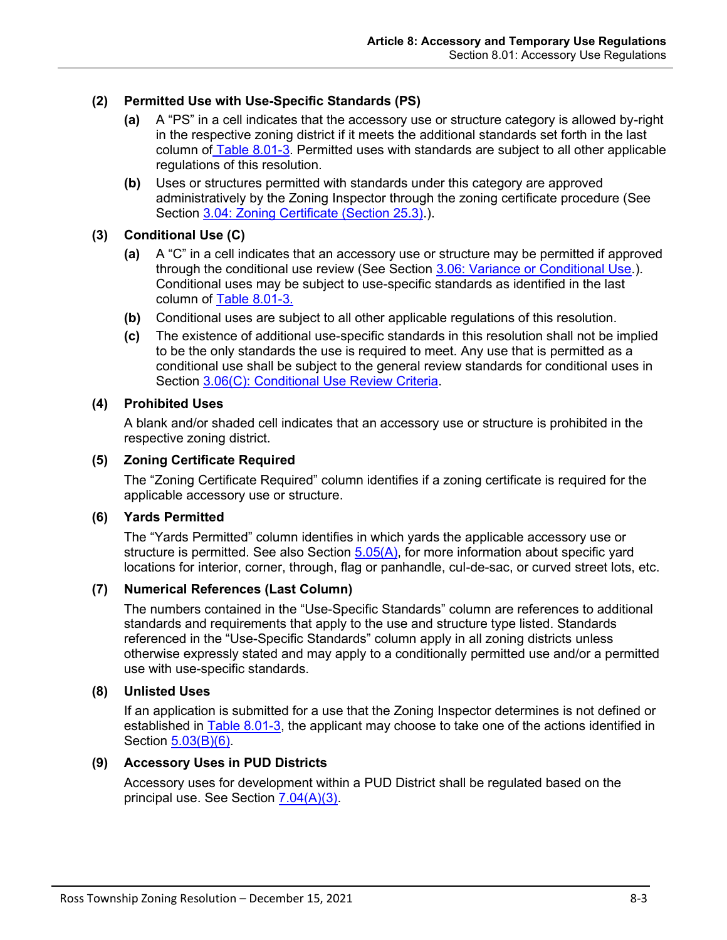# **(2) Permitted Use with Use-Specific Standards (PS)**

- **(a)** A "PS" in a cell indicates that the accessory use or structure category is allowed by-right in the respective zoning district if it meets the additional standards set forth in the last column of [Table 8.01-3.](#page-3-0) Permitted uses with standards are subject to all other applicable regulations of this resolution.
- **(b)** Uses or structures permitted with standards under this category are approved administratively by the Zoning Inspector through the zoning certificate procedure (See Section 3.04: Zoning Certificate (Section 25.3).).

#### **(3) Conditional Use (C)**

- **(a)** A "C" in a cell indicates that an accessory use or structure may be permitted if approved through the conditional use review (See Section 3.06: Variance or Conditional Use.). Conditional uses may be subject to use-specific standards as identified in the last column of [Table 8.01-3.](#page-3-0)
- **(b)** Conditional uses are subject to all other applicable regulations of this resolution.
- **(c)** The existence of additional use-specific standards in this resolution shall not be implied to be the only standards the use is required to meet. Any use that is permitted as a conditional use shall be subject to the general review standards for conditional uses in Section 3.06(C): Conditional Use Review Criteria.

#### **(4) Prohibited Uses**

A blank and/or shaded cell indicates that an accessory use or structure is prohibited in the respective zoning district.

#### **(5) Zoning Certificate Required**

The "Zoning Certificate Required" column identifies if a zoning certificate is required for the applicable accessory use or structure.

#### **(6) Yards Permitted**

The "Yards Permitted" column identifies in which yards the applicable accessory use or structure is permitted. See also Section  $5.05(A)$ , for more information about specific yard locations for interior, corner, through, flag or panhandle, cul-de-sac, or curved street lots, etc.

#### **(7) Numerical References (Last Column)**

The numbers contained in the "Use-Specific Standards" column are references to additional standards and requirements that apply to the use and structure type listed. Standards referenced in the "Use-Specific Standards" column apply in all zoning districts unless otherwise expressly stated and may apply to a conditionally permitted use and/or a permitted use with use-specific standards.

#### **(8) Unlisted Uses**

If an application is submitted for a use that the Zoning Inspector determines is not defined or established in [Table 8.01-3,](#page-3-0) the applicant may choose to take one of the actions identified in Section 5.03(B)(6).

# **(9) Accessory Uses in PUD Districts**

Accessory uses for development within a PUD District shall be regulated based on the principal use. See Section 7.04(A)(3).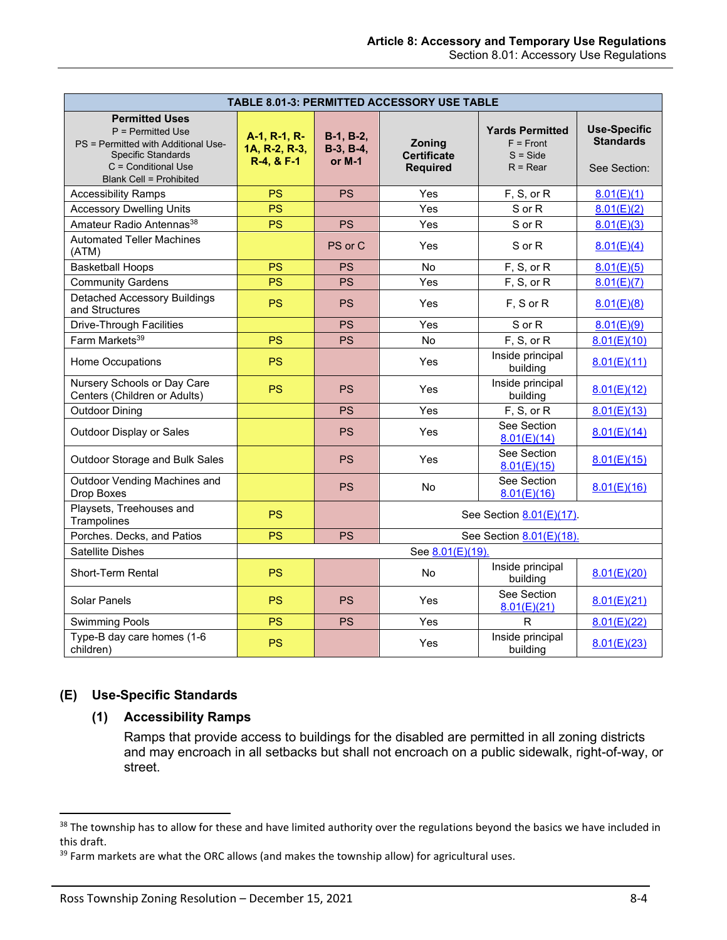<span id="page-3-0"></span>

| TABLE 8.01-3: PERMITTED ACCESSORY USE TABLE                                                                                                                               |                                             |                                        |                                                 |                                                                   |                                                         |  |  |  |
|---------------------------------------------------------------------------------------------------------------------------------------------------------------------------|---------------------------------------------|----------------------------------------|-------------------------------------------------|-------------------------------------------------------------------|---------------------------------------------------------|--|--|--|
| <b>Permitted Uses</b><br>P = Permitted Use<br>PS = Permitted with Additional Use-<br><b>Specific Standards</b><br>$C =$ Conditional Use<br><b>Blank Cell = Prohibited</b> | A-1, R-1, R-<br>1A, R-2, R-3,<br>R-4, & F-1 | $B-1, B-2,$<br>$B-3, B-4,$<br>or $M-1$ | Zoning<br><b>Certificate</b><br><b>Required</b> | <b>Yards Permitted</b><br>$F =$ Front<br>$S = Side$<br>$R = Rear$ | <b>Use-Specific</b><br><b>Standards</b><br>See Section: |  |  |  |
| <b>Accessibility Ramps</b>                                                                                                                                                | PS                                          | <b>PS</b>                              | Yes                                             | F, S, or R                                                        | 8.01(E)(1)                                              |  |  |  |
| <b>Accessory Dwelling Units</b>                                                                                                                                           | <b>PS</b>                                   |                                        | Yes                                             | S or R                                                            | 8.01(E)(2)                                              |  |  |  |
| Amateur Radio Antennas <sup>38</sup>                                                                                                                                      | PS                                          | <b>PS</b>                              | Yes                                             | S or R                                                            | 8.01(E)(3)                                              |  |  |  |
| <b>Automated Teller Machines</b><br>(ATM)                                                                                                                                 |                                             | PS or C                                | Yes                                             | S or R                                                            | 8.01(E)(4)                                              |  |  |  |
| <b>Basketball Hoops</b>                                                                                                                                                   | <b>PS</b>                                   | <b>PS</b>                              | <b>No</b>                                       | F, S, or R                                                        | 8.01(E)(5)                                              |  |  |  |
| <b>Community Gardens</b>                                                                                                                                                  | <b>PS</b>                                   | <b>PS</b>                              | Yes                                             | F, S, or R                                                        | 8.01(E)(7)                                              |  |  |  |
| <b>Detached Accessory Buildings</b><br>and Structures                                                                                                                     | <b>PS</b>                                   | <b>PS</b>                              | Yes                                             | F, S or R                                                         | 8.01(E)(8)                                              |  |  |  |
| <b>Drive-Through Facilities</b>                                                                                                                                           |                                             | <b>PS</b>                              | Yes                                             | S or R                                                            | 8.01(E)(9)                                              |  |  |  |
| Farm Markets <sup>39</sup>                                                                                                                                                | <b>PS</b>                                   | <b>PS</b>                              | No                                              | F, S, or R                                                        | 8.01(E)(10)                                             |  |  |  |
| Home Occupations                                                                                                                                                          | <b>PS</b>                                   |                                        | Yes                                             | Inside principal<br>building                                      | 8.01(E)(11)                                             |  |  |  |
| Nursery Schools or Day Care<br>Centers (Children or Adults)                                                                                                               | PS                                          | <b>PS</b>                              | Yes                                             | Inside principal<br>building                                      | 8.01(E)(12)                                             |  |  |  |
| <b>Outdoor Dining</b>                                                                                                                                                     |                                             | <b>PS</b>                              | Yes                                             | F, S, or R                                                        | 8.01(E)(13)                                             |  |  |  |
| Outdoor Display or Sales                                                                                                                                                  |                                             | <b>PS</b>                              | Yes                                             | See Section<br>8.01(E)(14)                                        | 8.01(E)(14)                                             |  |  |  |
| Outdoor Storage and Bulk Sales                                                                                                                                            |                                             | <b>PS</b>                              | Yes                                             | See Section<br>8.01(E)(15)                                        | 8.01(E)(15)                                             |  |  |  |
| Outdoor Vending Machines and<br>Drop Boxes                                                                                                                                |                                             | <b>PS</b>                              | <b>No</b>                                       | See Section<br>8.01(E)(16)                                        | 8.01(E)(16)                                             |  |  |  |
| Playsets, Treehouses and<br>Trampolines                                                                                                                                   | <b>PS</b>                                   |                                        | See Section 8.01(E)(17).                        |                                                                   |                                                         |  |  |  |
| Porches. Decks, and Patios                                                                                                                                                | <b>PS</b>                                   | <b>PS</b>                              | See Section 8.01(E)(18).                        |                                                                   |                                                         |  |  |  |
| Satellite Dishes                                                                                                                                                          |                                             |                                        | See 8.01(E)(19).                                |                                                                   |                                                         |  |  |  |
| Short-Term Rental                                                                                                                                                         | PS                                          |                                        | No.                                             | Inside principal<br>building                                      | 8.01(E)(20)                                             |  |  |  |
| Solar Panels                                                                                                                                                              | <b>PS</b>                                   | <b>PS</b>                              | Yes                                             | See Section<br>8.01(E)(21)                                        | 8.01(E)(21)                                             |  |  |  |
| <b>Swimming Pools</b>                                                                                                                                                     | <b>PS</b>                                   | <b>PS</b>                              | Yes                                             | $\mathsf{R}$                                                      | 8.01(E)(22)                                             |  |  |  |
| Type-B day care homes (1-6<br>children)                                                                                                                                   | <b>PS</b>                                   |                                        | Yes                                             | Inside principal<br>building                                      | 8.01(E)(23)                                             |  |  |  |

# <span id="page-3-1"></span>**(E) Use-Specific Standards**

#### **(1) Accessibility Ramps**

Ramps that provide access to buildings for the disabled are permitted in all zoning districts and may encroach in all setbacks but shall not encroach on a public sidewalk, right-of-way, or street.

<sup>&</sup>lt;sup>38</sup> The township has to allow for these and have limited authority over the regulations beyond the basics we have included in this draft.

<sup>&</sup>lt;sup>39</sup> Farm markets are what the ORC allows (and makes the township allow) for agricultural uses.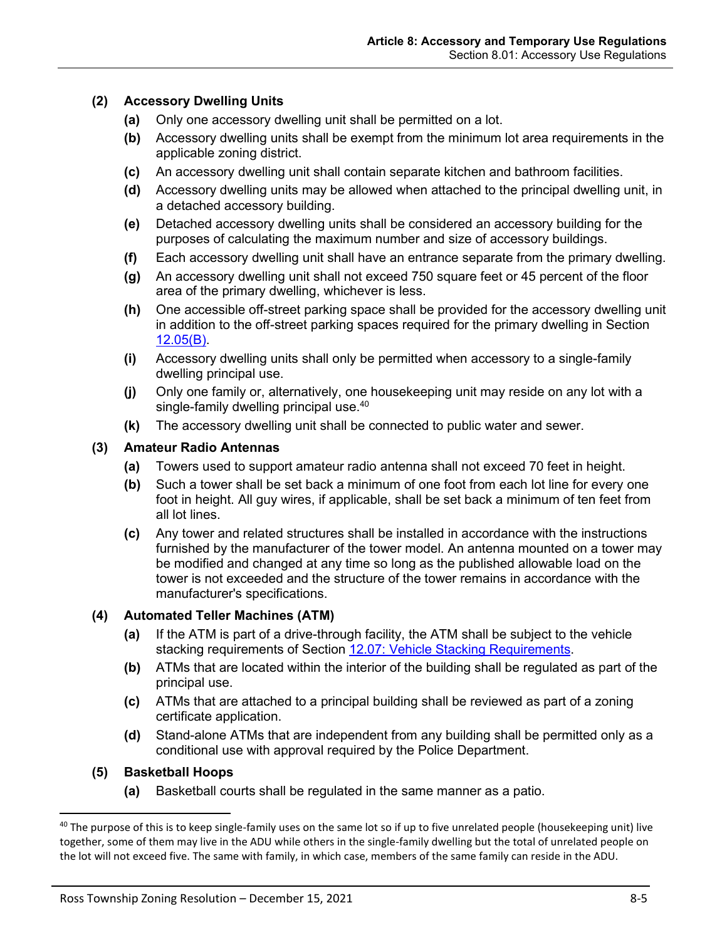# <span id="page-4-0"></span>**(2) Accessory Dwelling Units**

- **(a)** Only one accessory dwelling unit shall be permitted on a lot.
- **(b)** Accessory dwelling units shall be exempt from the minimum lot area requirements in the applicable zoning district.
- **(c)** An accessory dwelling unit shall contain separate kitchen and bathroom facilities.
- **(d)** Accessory dwelling units may be allowed when attached to the principal dwelling unit, in a detached accessory building.
- **(e)** Detached accessory dwelling units shall be considered an accessory building for the purposes of calculating the maximum number and size of accessory buildings.
- **(f)** Each accessory dwelling unit shall have an entrance separate from the primary dwelling.
- **(g)** An accessory dwelling unit shall not exceed 750 square feet or 45 percent of the floor area of the primary dwelling, whichever is less.
- **(h)** One accessible off-street parking space shall be provided for the accessory dwelling unit in addition to the off-street parking spaces required for the primary dwelling in Section 12.05(B).
- **(i)** Accessory dwelling units shall only be permitted when accessory to a single-family dwelling principal use.
- **(j)** Only one family or, alternatively, one housekeeping unit may reside on any lot with a single-family dwelling principal use.<sup>40</sup>
- **(k)** The accessory dwelling unit shall be connected to public water and sewer.

#### <span id="page-4-1"></span>**(3) Amateur Radio Antennas**

- **(a)** Towers used to support amateur radio antenna shall not exceed 70 feet in height.
- **(b)** Such a tower shall be set back a minimum of one foot from each lot line for every one foot in height. All guy wires, if applicable, shall be set back a minimum of ten feet from all lot lines.
- **(c)** Any tower and related structures shall be installed in accordance with the instructions furnished by the manufacturer of the tower model. An antenna mounted on a tower may be modified and changed at any time so long as the published allowable load on the tower is not exceeded and the structure of the tower remains in accordance with the manufacturer's specifications.

#### <span id="page-4-2"></span>**(4) Automated Teller Machines (ATM)**

- **(a)** If the ATM is part of a drive-through facility, the ATM shall be subject to the vehicle stacking requirements of Section 12.07: Vehicle Stacking Requirements.
- **(b)** ATMs that are located within the interior of the building shall be regulated as part of the principal use.
- **(c)** ATMs that are attached to a principal building shall be reviewed as part of a zoning certificate application.
- **(d)** Stand-alone ATMs that are independent from any building shall be permitted only as a conditional use with approval required by the Police Department.

#### <span id="page-4-3"></span>**(5) Basketball Hoops**

**(a)** Basketball courts shall be regulated in the same manner as a patio.

<sup>&</sup>lt;sup>40</sup> The purpose of this is to keep single-family uses on the same lot so if up to five unrelated people (housekeeping unit) live together, some of them may live in the ADU while others in the single-family dwelling but the total of unrelated people on the lot will not exceed five. The same with family, in which case, members of the same family can reside in the ADU.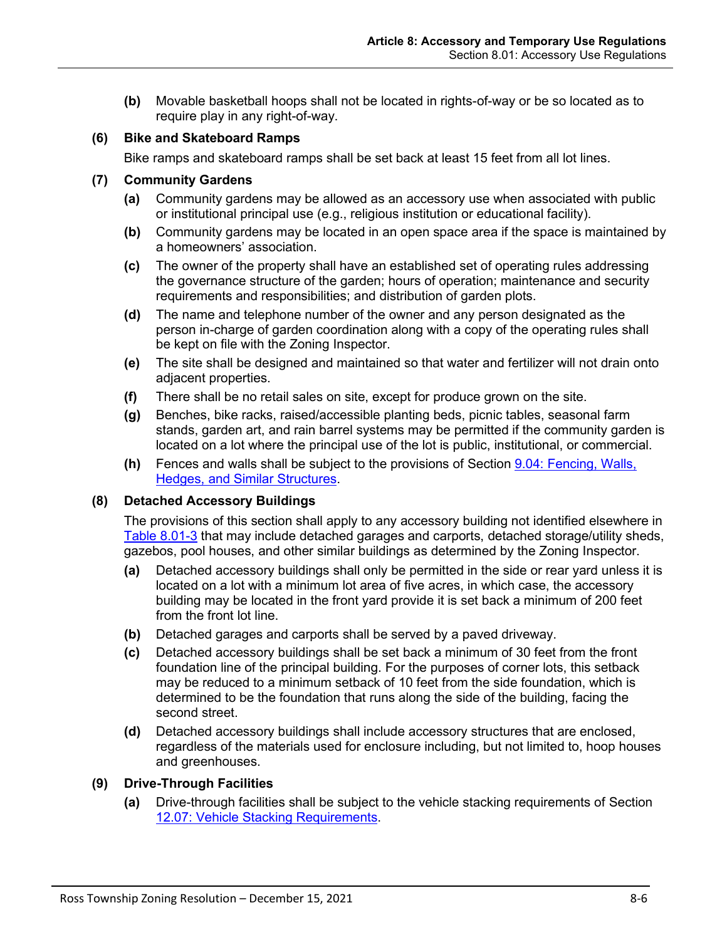**(b)** Movable basketball hoops shall not be located in rights-of-way or be so located as to require play in any right-of-way.

# **(6) Bike and Skateboard Ramps**

Bike ramps and skateboard ramps shall be set back at least 15 feet from all lot lines.

## <span id="page-5-0"></span>**(7) Community Gardens**

- **(a)** Community gardens may be allowed as an accessory use when associated with public or institutional principal use (e.g., religious institution or educational facility).
- **(b)** Community gardens may be located in an open space area if the space is maintained by a homeowners' association.
- **(c)** The owner of the property shall have an established set of operating rules addressing the governance structure of the garden; hours of operation; maintenance and security requirements and responsibilities; and distribution of garden plots.
- **(d)** The name and telephone number of the owner and any person designated as the person in-charge of garden coordination along with a copy of the operating rules shall be kept on file with the Zoning Inspector.
- **(e)** The site shall be designed and maintained so that water and fertilizer will not drain onto adjacent properties.
- **(f)** There shall be no retail sales on site, except for produce grown on the site.
- **(g)** Benches, bike racks, raised/accessible planting beds, picnic tables, seasonal farm stands, garden art, and rain barrel systems may be permitted if the community garden is located on a lot where the principal use of the lot is public, institutional, or commercial.
- **(h)** Fences and walls shall be subject to the provisions of Section 9.04: Fencing, Walls, Hedges, and Similar Structures.

#### <span id="page-5-1"></span>**(8) Detached Accessory Buildings**

The provisions of this section shall apply to any accessory building not identified elsewhere in [Table 8.01-3](#page-3-0) that may include detached garages and carports, detached storage/utility sheds, gazebos, pool houses, and other similar buildings as determined by the Zoning Inspector.

- **(a)** Detached accessory buildings shall only be permitted in the side or rear yard unless it is located on a lot with a minimum lot area of five acres, in which case, the accessory building may be located in the front yard provide it is set back a minimum of 200 feet from the front lot line.
- **(b)** Detached garages and carports shall be served by a paved driveway.
- **(c)** Detached accessory buildings shall be set back a minimum of 30 feet from the front foundation line of the principal building. For the purposes of corner lots, this setback may be reduced to a minimum setback of 10 feet from the side foundation, which is determined to be the foundation that runs along the side of the building, facing the second street.
- **(d)** Detached accessory buildings shall include accessory structures that are enclosed, regardless of the materials used for enclosure including, but not limited to, hoop houses and greenhouses.
- <span id="page-5-2"></span>**(9) Drive-Through Facilities**
	- **(a)** Drive-through facilities shall be subject to the vehicle stacking requirements of Section 12.07: Vehicle Stacking Requirements.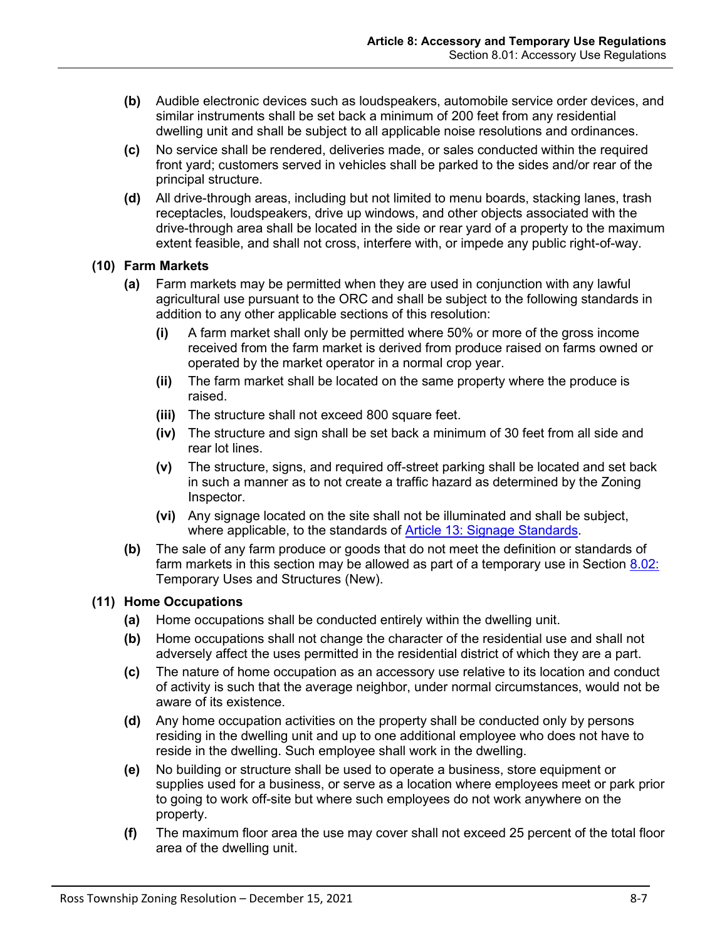- **(b)** Audible electronic devices such as loudspeakers, automobile service order devices, and similar instruments shall be set back a minimum of 200 feet from any residential dwelling unit and shall be subject to all applicable noise resolutions and ordinances.
- **(c)** No service shall be rendered, deliveries made, or sales conducted within the required front yard; customers served in vehicles shall be parked to the sides and/or rear of the principal structure.
- **(d)** All drive-through areas, including but not limited to menu boards, stacking lanes, trash receptacles, loudspeakers, drive up windows, and other objects associated with the drive-through area shall be located in the side or rear yard of a property to the maximum extent feasible, and shall not cross, interfere with, or impede any public right-of-way.

#### <span id="page-6-0"></span>**(10) Farm Markets**

- **(a)** Farm markets may be permitted when they are used in conjunction with any lawful agricultural use pursuant to the ORC and shall be subject to the following standards in addition to any other applicable sections of this resolution:
	- **(i)** A farm market shall only be permitted where 50% or more of the gross income received from the farm market is derived from produce raised on farms owned or operated by the market operator in a normal crop year.
	- **(ii)** The farm market shall be located on the same property where the produce is raised.
	- **(iii)** The structure shall not exceed 800 square feet.
	- **(iv)** The structure and sign shall be set back a minimum of 30 feet from all side and rear lot lines.
	- **(v)** The structure, signs, and required off-street parking shall be located and set back in such a manner as to not create a traffic hazard as determined by the Zoning Inspector.
	- **(vi)** Any signage located on the site shall not be illuminated and shall be subject, where applicable, to the standards of Article 13: Signage Standards.
- **(b)** The sale of any farm produce or goods that do not meet the definition or standards of farm markets in this section may be allowed as part of a temporary use in Section [8.02:](#page-13-1) [Temporary Uses and Structures](#page-13-1) (New).

#### <span id="page-6-1"></span>**(11) Home Occupations**

- **(a)** Home occupations shall be conducted entirely within the dwelling unit.
- **(b)** Home occupations shall not change the character of the residential use and shall not adversely affect the uses permitted in the residential district of which they are a part.
- **(c)** The nature of home occupation as an accessory use relative to its location and conduct of activity is such that the average neighbor, under normal circumstances, would not be aware of its existence.
- **(d)** Any home occupation activities on the property shall be conducted only by persons residing in the dwelling unit and up to one additional employee who does not have to reside in the dwelling. Such employee shall work in the dwelling.
- **(e)** No building or structure shall be used to operate a business, store equipment or supplies used for a business, or serve as a location where employees meet or park prior to going to work off-site but where such employees do not work anywhere on the property.
- **(f)** The maximum floor area the use may cover shall not exceed 25 percent of the total floor area of the dwelling unit.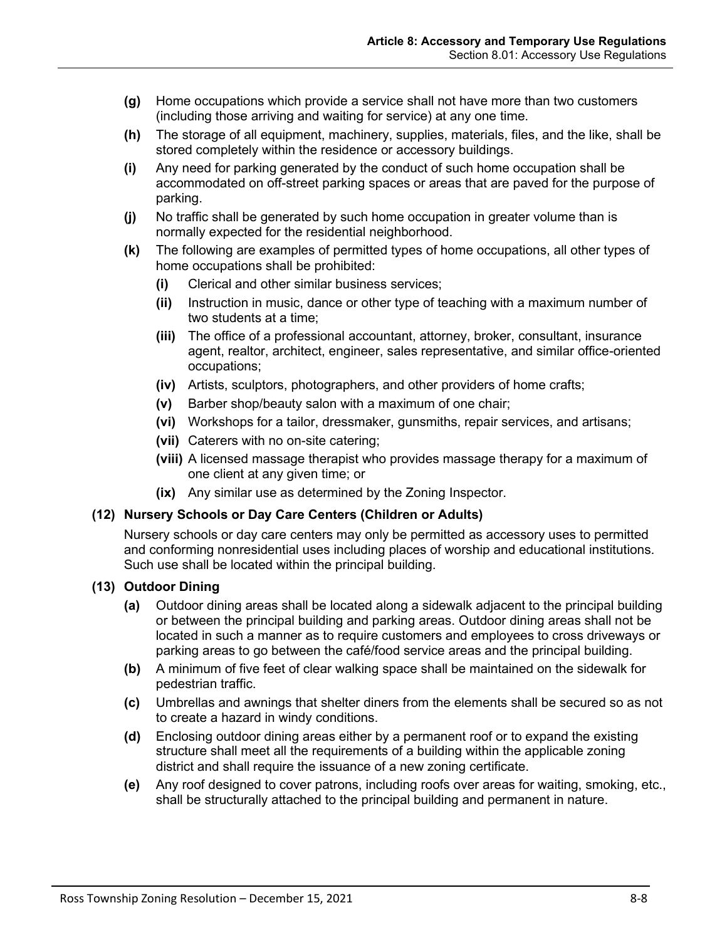- **(g)** Home occupations which provide a service shall not have more than two customers (including those arriving and waiting for service) at any one time.
- **(h)** The storage of all equipment, machinery, supplies, materials, files, and the like, shall be stored completely within the residence or accessory buildings.
- **(i)** Any need for parking generated by the conduct of such home occupation shall be accommodated on off-street parking spaces or areas that are paved for the purpose of parking.
- **(j)** No traffic shall be generated by such home occupation in greater volume than is normally expected for the residential neighborhood.
- **(k)** The following are examples of permitted types of home occupations, all other types of home occupations shall be prohibited:
	- **(i)** Clerical and other similar business services;
	- **(ii)** Instruction in music, dance or other type of teaching with a maximum number of two students at a time;
	- **(iii)** The office of a professional accountant, attorney, broker, consultant, insurance agent, realtor, architect, engineer, sales representative, and similar office-oriented occupations;
	- **(iv)** Artists, sculptors, photographers, and other providers of home crafts;
	- **(v)** Barber shop/beauty salon with a maximum of one chair;
	- **(vi)** Workshops for a tailor, dressmaker, gunsmiths, repair services, and artisans;
	- **(vii)** Caterers with no on-site catering;
	- **(viii)** A licensed massage therapist who provides massage therapy for a maximum of one client at any given time; or
	- **(ix)** Any similar use as determined by the Zoning Inspector.

# <span id="page-7-0"></span>**(12) Nursery Schools or Day Care Centers (Children or Adults)**

Nursery schools or day care centers may only be permitted as accessory uses to permitted and conforming nonresidential uses including places of worship and educational institutions. Such use shall be located within the principal building.

#### <span id="page-7-1"></span>**(13) Outdoor Dining**

- **(a)** Outdoor dining areas shall be located along a sidewalk adjacent to the principal building or between the principal building and parking areas. Outdoor dining areas shall not be located in such a manner as to require customers and employees to cross driveways or parking areas to go between the café/food service areas and the principal building.
- **(b)** A minimum of five feet of clear walking space shall be maintained on the sidewalk for pedestrian traffic.
- **(c)** Umbrellas and awnings that shelter diners from the elements shall be secured so as not to create a hazard in windy conditions.
- **(d)** Enclosing outdoor dining areas either by a permanent roof or to expand the existing structure shall meet all the requirements of a building within the applicable zoning district and shall require the issuance of a new zoning certificate.
- **(e)** Any roof designed to cover patrons, including roofs over areas for waiting, smoking, etc., shall be structurally attached to the principal building and permanent in nature.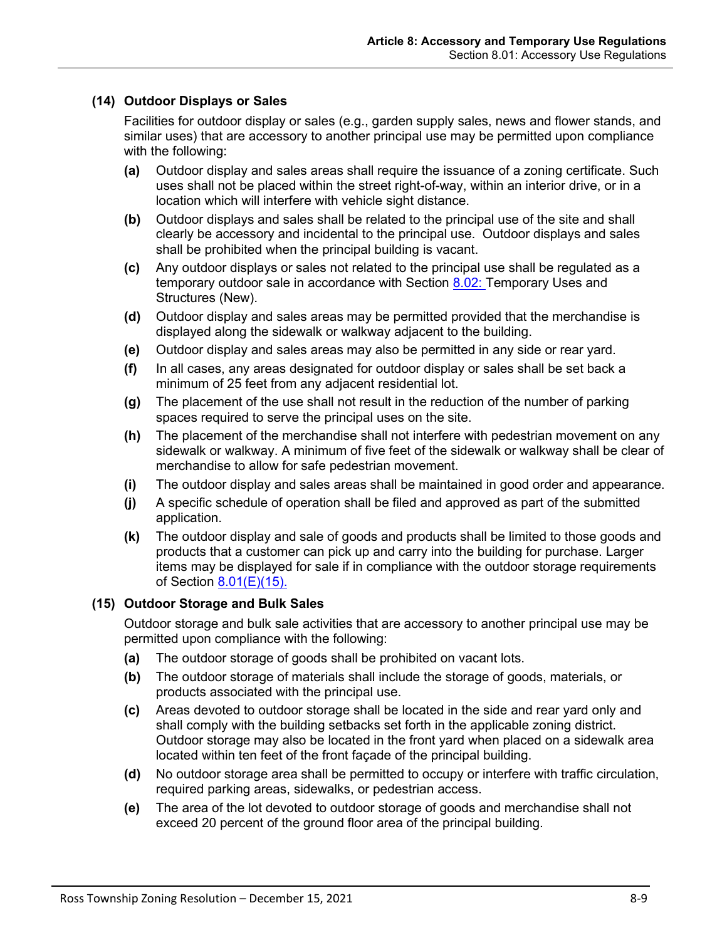# <span id="page-8-0"></span>**(14) Outdoor Displays or Sales**

Facilities for outdoor display or sales (e.g., garden supply sales, news and flower stands, and similar uses) that are accessory to another principal use may be permitted upon compliance with the following:

- **(a)** Outdoor display and sales areas shall require the issuance of a zoning certificate. Such uses shall not be placed within the street right-of-way, within an interior drive, or in a location which will interfere with vehicle sight distance.
- **(b)** Outdoor displays and sales shall be related to the principal use of the site and shall clearly be accessory and incidental to the principal use. Outdoor displays and sales shall be prohibited when the principal building is vacant.
- **(c)** Any outdoor displays or sales not related to the principal use shall be regulated as a temporary outdoor sale in accordance with Section [8.02: Temporary Uses and](#page-13-1)  [Structures](#page-13-1) (New).
- **(d)** Outdoor display and sales areas may be permitted provided that the merchandise is displayed along the sidewalk or walkway adjacent to the building.
- **(e)** Outdoor display and sales areas may also be permitted in any side or rear yard.
- **(f)** In all cases, any areas designated for outdoor display or sales shall be set back a minimum of 25 feet from any adjacent residential lot.
- **(g)** The placement of the use shall not result in the reduction of the number of parking spaces required to serve the principal uses on the site.
- **(h)** The placement of the merchandise shall not interfere with pedestrian movement on any sidewalk or walkway. A minimum of five feet of the sidewalk or walkway shall be clear of merchandise to allow for safe pedestrian movement.
- **(i)** The outdoor display and sales areas shall be maintained in good order and appearance.
- **(j)** A specific schedule of operation shall be filed and approved as part of the submitted application.
- **(k)** The outdoor display and sale of goods and products shall be limited to those goods and products that a customer can pick up and carry into the building for purchase. Larger items may be displayed for sale if in compliance with the outdoor storage requirements of Section  $8.01(E)(15)$ .

#### <span id="page-8-1"></span>**(15) Outdoor Storage and Bulk Sales**

Outdoor storage and bulk sale activities that are accessory to another principal use may be permitted upon compliance with the following:

- **(a)** The outdoor storage of goods shall be prohibited on vacant lots.
- **(b)** The outdoor storage of materials shall include the storage of goods, materials, or products associated with the principal use.
- **(c)** Areas devoted to outdoor storage shall be located in the side and rear yard only and shall comply with the building setbacks set forth in the applicable zoning district. Outdoor storage may also be located in the front yard when placed on a sidewalk area located within ten feet of the front façade of the principal building.
- **(d)** No outdoor storage area shall be permitted to occupy or interfere with traffic circulation, required parking areas, sidewalks, or pedestrian access.
- **(e)** The area of the lot devoted to outdoor storage of goods and merchandise shall not exceed 20 percent of the ground floor area of the principal building.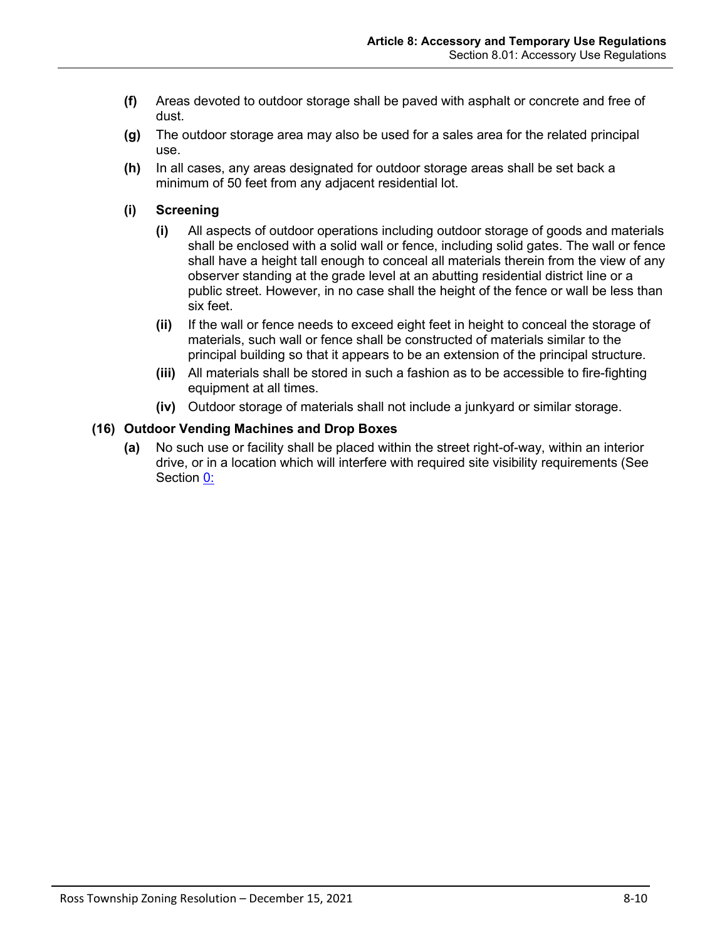- **(f)** Areas devoted to outdoor storage shall be paved with asphalt or concrete and free of dust.
- **(g)** The outdoor storage area may also be used for a sales area for the related principal use.
- **(h)** In all cases, any areas designated for outdoor storage areas shall be set back a minimum of 50 feet from any adjacent residential lot.
- **(i) Screening**
	- **(i)** All aspects of outdoor operations including outdoor storage of goods and materials shall be enclosed with a solid wall or fence, including solid gates. The wall or fence shall have a height tall enough to conceal all materials therein from the view of any observer standing at the grade level at an abutting residential district line or a public street. However, in no case shall the height of the fence or wall be less than six feet.
	- **(ii)** If the wall or fence needs to exceed eight feet in height to conceal the storage of materials, such wall or fence shall be constructed of materials similar to the principal building so that it appears to be an extension of the principal structure.
	- **(iii)** All materials shall be stored in such a fashion as to be accessible to fire-fighting equipment at all times.
	- **(iv)** Outdoor storage of materials shall not include a junkyard or similar storage.

# <span id="page-9-0"></span>**(16) Outdoor Vending Machines and Drop Boxes**

**(a)** No such use or facility shall be placed within the street right-of-way, within an interior drive, or in a location which will interfere with required site visibility requirements (See Section 0: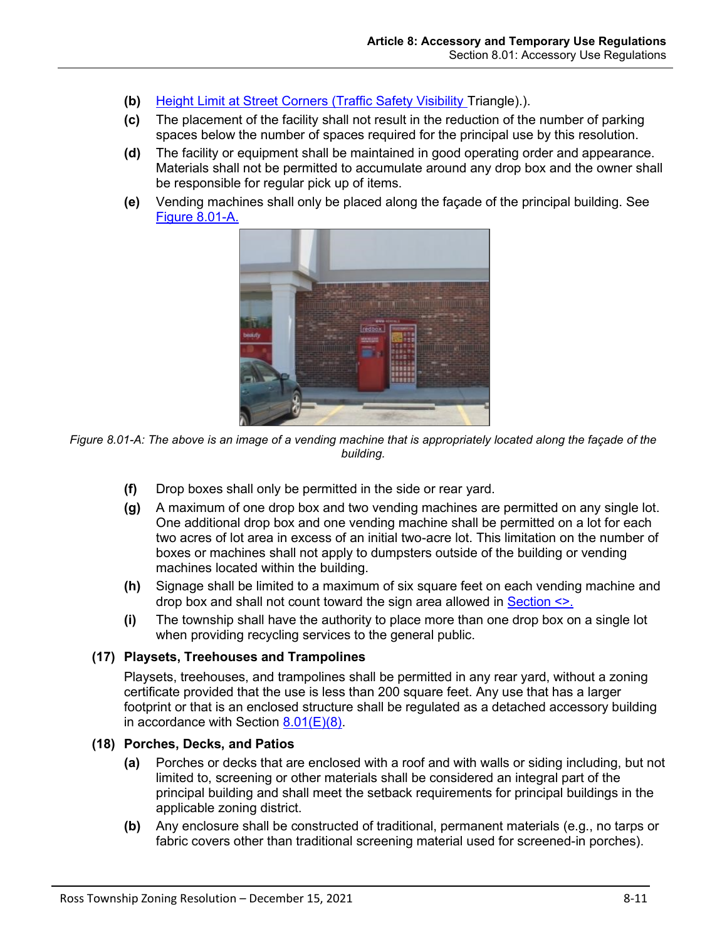- **(b)** Height Limit at Street Corners (Traffic Safety Visibility Triangle).).
- **(c)** The placement of the facility shall not result in the reduction of the number of parking spaces below the number of spaces required for the principal use by this resolution.
- **(d)** The facility or equipment shall be maintained in good operating order and appearance. Materials shall not be permitted to accumulate around any drop box and the owner shall be responsible for regular pick up of items.
- **(e)** Vending machines shall only be placed along the façade of the principal building. See [Figure 8.01-A.](#page-10-2)



*Figure 8.01-A: The above is an image of a vending machine that is appropriately located along the façade of the building.*

- <span id="page-10-2"></span>**(f)** Drop boxes shall only be permitted in the side or rear yard.
- **(g)** A maximum of one drop box and two vending machines are permitted on any single lot. One additional drop box and one vending machine shall be permitted on a lot for each two acres of lot area in excess of an initial two-acre lot. This limitation on the number of boxes or machines shall not apply to dumpsters outside of the building or vending machines located within the building.
- **(h)** Signage shall be limited to a maximum of six square feet on each vending machine and drop box and shall not count toward the sign area allowed in Section <>.
- **(i)** The township shall have the authority to place more than one drop box on a single lot when providing recycling services to the general public.

#### <span id="page-10-0"></span>**(17) Playsets, Treehouses and Trampolines**

Playsets, treehouses, and trampolines shall be permitted in any rear yard, without a zoning certificate provided that the use is less than 200 square feet. Any use that has a larger footprint or that is an enclosed structure shall be regulated as a detached accessory building in accordance with Section  $8.01(E)(8)$ .

#### <span id="page-10-1"></span>**(18) Porches, Decks, and Patios**

- **(a)** Porches or decks that are enclosed with a roof and with walls or siding including, but not limited to, screening or other materials shall be considered an integral part of the principal building and shall meet the setback requirements for principal buildings in the applicable zoning district.
- **(b)** Any enclosure shall be constructed of traditional, permanent materials (e.g., no tarps or fabric covers other than traditional screening material used for screened-in porches).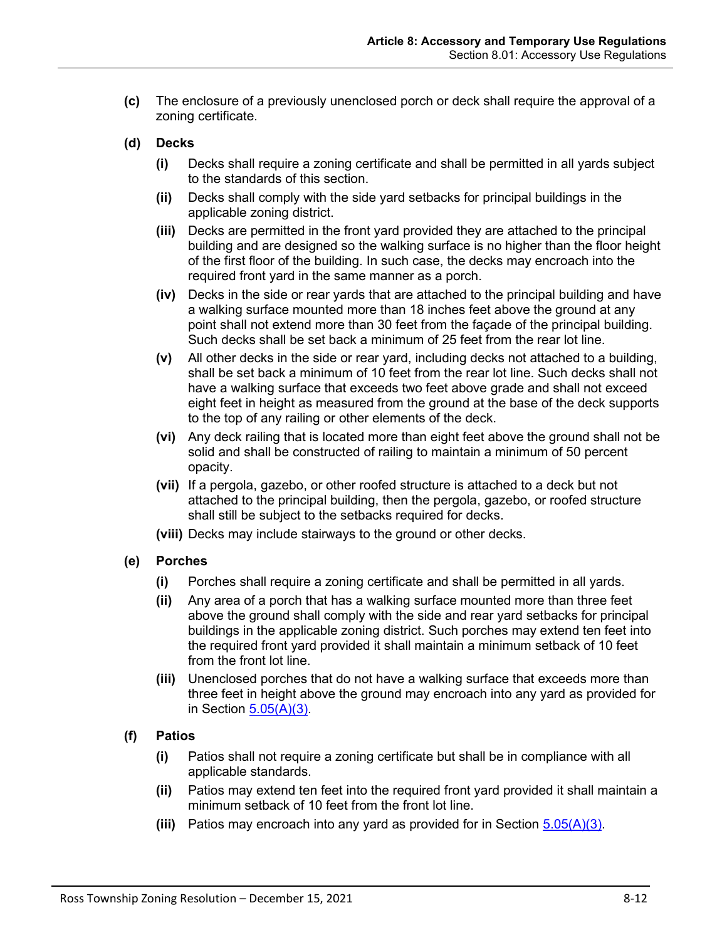- **(c)** The enclosure of a previously unenclosed porch or deck shall require the approval of a zoning certificate.
- **(d) Decks**
	- **(i)** Decks shall require a zoning certificate and shall be permitted in all yards subject to the standards of this section.
	- **(ii)** Decks shall comply with the side yard setbacks for principal buildings in the applicable zoning district.
	- **(iii)** Decks are permitted in the front yard provided they are attached to the principal building and are designed so the walking surface is no higher than the floor height of the first floor of the building. In such case, the decks may encroach into the required front yard in the same manner as a porch.
	- **(iv)** Decks in the side or rear yards that are attached to the principal building and have a walking surface mounted more than 18 inches feet above the ground at any point shall not extend more than 30 feet from the façade of the principal building. Such decks shall be set back a minimum of 25 feet from the rear lot line.
	- **(v)** All other decks in the side or rear yard, including decks not attached to a building, shall be set back a minimum of 10 feet from the rear lot line. Such decks shall not have a walking surface that exceeds two feet above grade and shall not exceed eight feet in height as measured from the ground at the base of the deck supports to the top of any railing or other elements of the deck.
	- **(vi)** Any deck railing that is located more than eight feet above the ground shall not be solid and shall be constructed of railing to maintain a minimum of 50 percent opacity.
	- **(vii)** If a pergola, gazebo, or other roofed structure is attached to a deck but not attached to the principal building, then the pergola, gazebo, or roofed structure shall still be subject to the setbacks required for decks.
	- **(viii)** Decks may include stairways to the ground or other decks.
- **(e) Porches**
	- **(i)** Porches shall require a zoning certificate and shall be permitted in all yards.
	- **(ii)** Any area of a porch that has a walking surface mounted more than three feet above the ground shall comply with the side and rear yard setbacks for principal buildings in the applicable zoning district. Such porches may extend ten feet into the required front yard provided it shall maintain a minimum setback of 10 feet from the front lot line.
	- **(iii)** Unenclosed porches that do not have a walking surface that exceeds more than three feet in height above the ground may encroach into any yard as provided for in Section  $5.05(A)(3)$ .
- **(f) Patios**
	- **(i)** Patios shall not require a zoning certificate but shall be in compliance with all applicable standards.
	- **(ii)** Patios may extend ten feet into the required front yard provided it shall maintain a minimum setback of 10 feet from the front lot line.
	- **(iii)** Patios may encroach into any yard as provided for in Section 5.05(A)(3).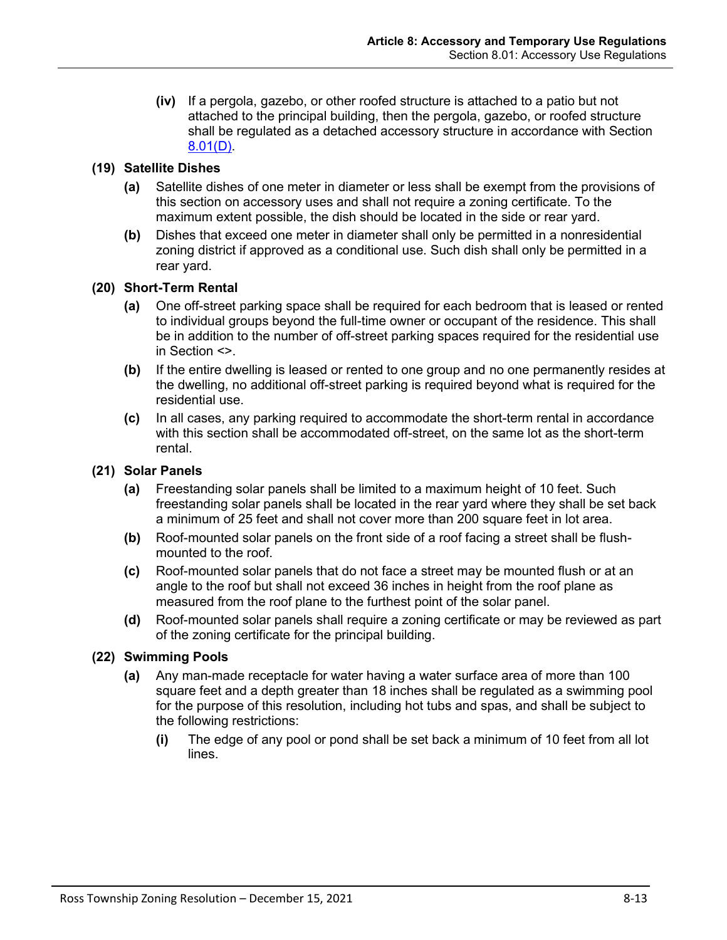**(iv)** If a pergola, gazebo, or other roofed structure is attached to a patio but not attached to the principal building, then the pergola, gazebo, or roofed structure shall be regulated as a detached accessory structure in accordance with Section [8.01\(D\).](#page-1-2)

# <span id="page-12-0"></span>**(19) Satellite Dishes**

- **(a)** Satellite dishes of one meter in diameter or less shall be exempt from the provisions of this section on accessory uses and shall not require a zoning certificate. To the maximum extent possible, the dish should be located in the side or rear yard.
- **(b)** Dishes that exceed one meter in diameter shall only be permitted in a nonresidential zoning district if approved as a conditional use. Such dish shall only be permitted in a rear yard.

#### <span id="page-12-1"></span>**(20) Short-Term Rental**

- **(a)** One off-street parking space shall be required for each bedroom that is leased or rented to individual groups beyond the full-time owner or occupant of the residence. This shall be in addition to the number of off-street parking spaces required for the residential use in Section <>.
- **(b)** If the entire dwelling is leased or rented to one group and no one permanently resides at the dwelling, no additional off-street parking is required beyond what is required for the residential use.
- **(c)** In all cases, any parking required to accommodate the short-term rental in accordance with this section shall be accommodated off-street, on the same lot as the short-term rental.

#### <span id="page-12-2"></span>**(21) Solar Panels**

- **(a)** Freestanding solar panels shall be limited to a maximum height of 10 feet. Such freestanding solar panels shall be located in the rear yard where they shall be set back a minimum of 25 feet and shall not cover more than 200 square feet in lot area.
- **(b)** Roof-mounted solar panels on the front side of a roof facing a street shall be flushmounted to the roof.
- **(c)** Roof-mounted solar panels that do not face a street may be mounted flush or at an angle to the roof but shall not exceed 36 inches in height from the roof plane as measured from the roof plane to the furthest point of the solar panel.
- **(d)** Roof-mounted solar panels shall require a zoning certificate or may be reviewed as part of the zoning certificate for the principal building.

#### <span id="page-12-3"></span>**(22) Swimming Pools**

- **(a)** Any man-made receptacle for water having a water surface area of more than 100 square feet and a depth greater than 18 inches shall be regulated as a swimming pool for the purpose of this resolution, including hot tubs and spas, and shall be subject to the following restrictions:
	- **(i)** The edge of any pool or pond shall be set back a minimum of 10 feet from all lot lines.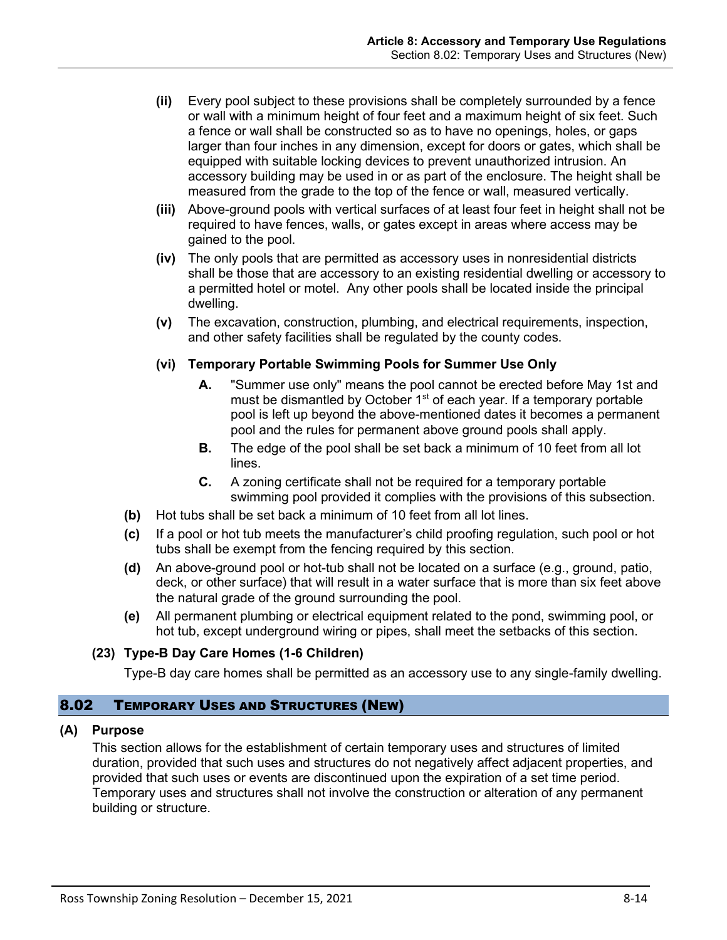- **(ii)** Every pool subject to these provisions shall be completely surrounded by a fence or wall with a minimum height of four feet and a maximum height of six feet. Such a fence or wall shall be constructed so as to have no openings, holes, or gaps larger than four inches in any dimension, except for doors or gates, which shall be equipped with suitable locking devices to prevent unauthorized intrusion. An accessory building may be used in or as part of the enclosure. The height shall be measured from the grade to the top of the fence or wall, measured vertically.
- **(iii)** Above-ground pools with vertical surfaces of at least four feet in height shall not be required to have fences, walls, or gates except in areas where access may be gained to the pool.
- **(iv)** The only pools that are permitted as accessory uses in nonresidential districts shall be those that are accessory to an existing residential dwelling or accessory to a permitted hotel or motel. Any other pools shall be located inside the principal dwelling.
- **(v)** The excavation, construction, plumbing, and electrical requirements, inspection, and other safety facilities shall be regulated by the county codes.

## **(vi) Temporary Portable Swimming Pools for Summer Use Only**

- **A.** "Summer use only" means the pool cannot be erected before May 1st and must be dismantled by October 1<sup>st</sup> of each year. If a temporary portable pool is left up beyond the above-mentioned dates it becomes a permanent pool and the rules for permanent above ground pools shall apply.
- **B.** The edge of the pool shall be set back a minimum of 10 feet from all lot lines.
- **C.** A zoning certificate shall not be required for a temporary portable swimming pool provided it complies with the provisions of this subsection.
- **(b)** Hot tubs shall be set back a minimum of 10 feet from all lot lines.
- **(c)** If a pool or hot tub meets the manufacturer's child proofing regulation, such pool or hot tubs shall be exempt from the fencing required by this section.
- **(d)** An above-ground pool or hot-tub shall not be located on a surface (e.g., ground, patio, deck, or other surface) that will result in a water surface that is more than six feet above the natural grade of the ground surrounding the pool.
- **(e)** All permanent plumbing or electrical equipment related to the pond, swimming pool, or hot tub, except underground wiring or pipes, shall meet the setbacks of this section.

# <span id="page-13-0"></span>**(23) Type-B Day Care Homes (1-6 Children)**

Type-B day care homes shall be permitted as an accessory use to any single-family dwelling.

### <span id="page-13-1"></span>8.02 TEMPORARY USES AND STRUCTURES (NEW)

#### **(A) Purpose**

This section allows for the establishment of certain temporary uses and structures of limited duration, provided that such uses and structures do not negatively affect adjacent properties, and provided that such uses or events are discontinued upon the expiration of a set time period. Temporary uses and structures shall not involve the construction or alteration of any permanent building or structure.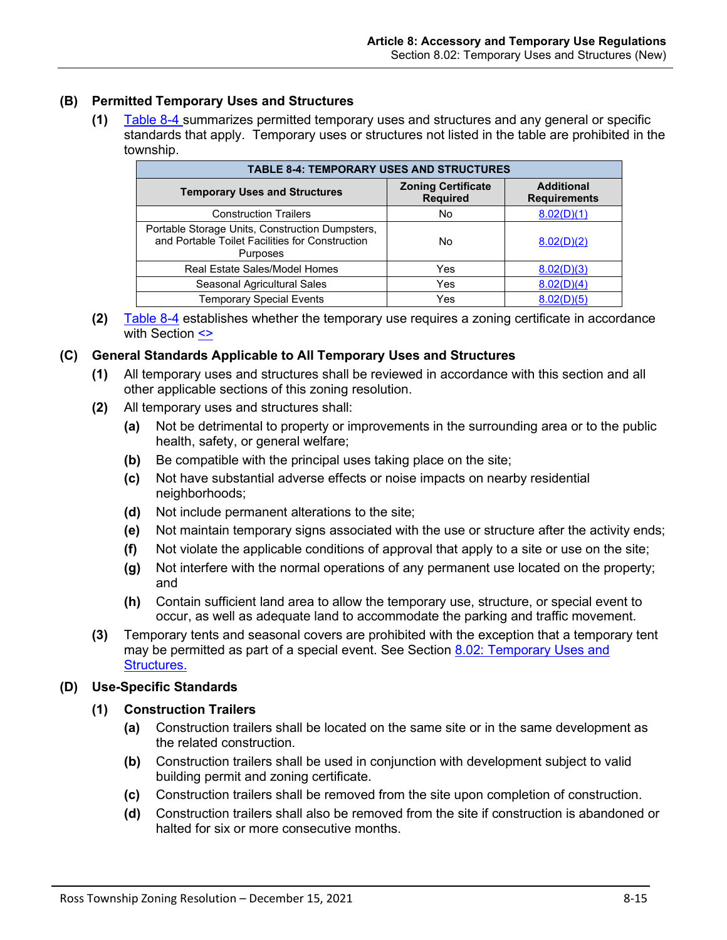# **(B) Permitted Temporary Uses and Structures**

**(1)** [Table 8-4](#page-14-0) summarizes permitted temporary uses and structures and any general or specific standards that apply. Temporary uses or structures not listed in the table are prohibited in the township.

<span id="page-14-0"></span>

| <b>TABLE 8-4: TEMPORARY USES AND STRUCTURES</b>                                                                       |                                              |                                          |  |  |  |  |
|-----------------------------------------------------------------------------------------------------------------------|----------------------------------------------|------------------------------------------|--|--|--|--|
| <b>Temporary Uses and Structures</b>                                                                                  | <b>Zoning Certificate</b><br><b>Required</b> | <b>Additional</b><br><b>Requirements</b> |  |  |  |  |
| <b>Construction Trailers</b>                                                                                          | No                                           | 8.02(D)(1)                               |  |  |  |  |
| Portable Storage Units, Construction Dumpsters,<br>and Portable Toilet Facilities for Construction<br><b>Purposes</b> | No                                           | 8.02(D)(2)                               |  |  |  |  |
| Real Estate Sales/Model Homes                                                                                         | Yes                                          | 8.02(D)(3)                               |  |  |  |  |
| Seasonal Agricultural Sales                                                                                           | Yes                                          | 8.02(D)(4)                               |  |  |  |  |
| <b>Temporary Special Events</b>                                                                                       | Yes                                          | 8.02(D)(5)                               |  |  |  |  |

**(2)** [Table 8-4](#page-14-0) establishes whether the temporary use requires a zoning certificate in accordance with Section <>

#### **(C) General Standards Applicable to All Temporary Uses and Structures**

- **(1)** All temporary uses and structures shall be reviewed in accordance with this section and all other applicable sections of this zoning resolution.
- **(2)** All temporary uses and structures shall:
	- **(a)** Not be detrimental to property or improvements in the surrounding area or to the public health, safety, or general welfare;
	- **(b)** Be compatible with the principal uses taking place on the site;
	- **(c)** Not have substantial adverse effects or noise impacts on nearby residential neighborhoods;
	- **(d)** Not include permanent alterations to the site;
	- **(e)** Not maintain temporary signs associated with the use or structure after the activity ends;
	- **(f)** Not violate the applicable conditions of approval that apply to a site or use on the site;
	- **(g)** Not interfere with the normal operations of any permanent use located on the property; and
	- **(h)** Contain sufficient land area to allow the temporary use, structure, or special event to occur, as well as adequate land to accommodate the parking and traffic movement.
- **(3)** Temporary tents and seasonal covers are prohibited with the exception that a temporary tent may be permitted as part of a special event. See Section 8.02: Temporary Uses and [Structures.](#page-13-1)

#### <span id="page-14-1"></span>**(D) Use-Specific Standards**

#### **(1) Construction Trailers**

- **(a)** Construction trailers shall be located on the same site or in the same development as the related construction.
- **(b)** Construction trailers shall be used in conjunction with development subject to valid building permit and zoning certificate.
- **(c)** Construction trailers shall be removed from the site upon completion of construction.
- **(d)** Construction trailers shall also be removed from the site if construction is abandoned or halted for six or more consecutive months.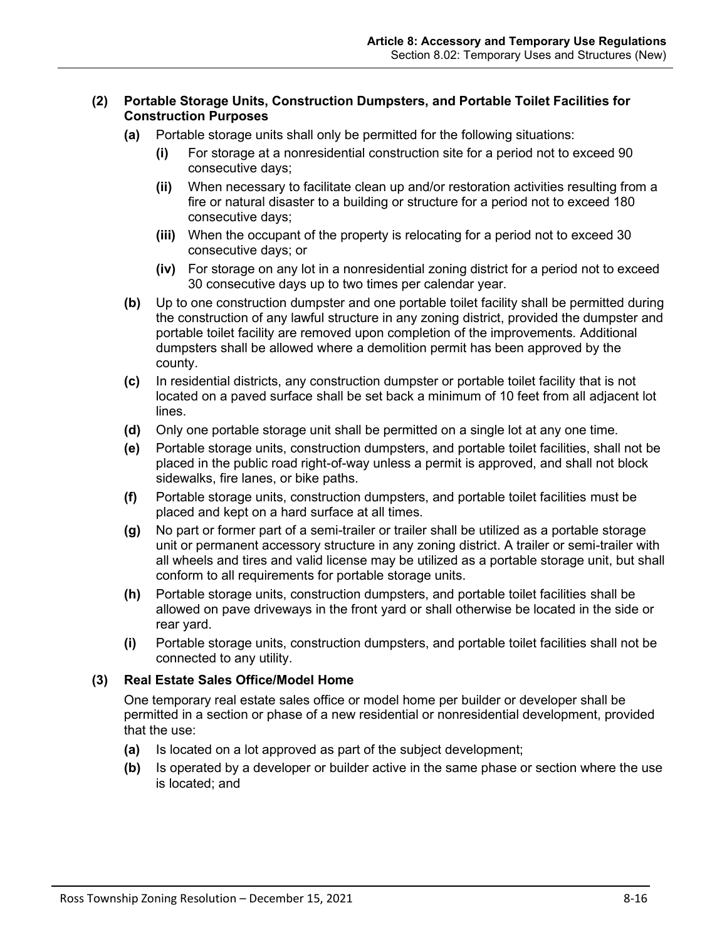## <span id="page-15-0"></span>**(2) Portable Storage Units, Construction Dumpsters, and Portable Toilet Facilities for Construction Purposes**

- **(a)** Portable storage units shall only be permitted for the following situations:
	- **(i)** For storage at a nonresidential construction site for a period not to exceed 90 consecutive days;
	- **(ii)** When necessary to facilitate clean up and/or restoration activities resulting from a fire or natural disaster to a building or structure for a period not to exceed 180 consecutive days;
	- **(iii)** When the occupant of the property is relocating for a period not to exceed 30 consecutive days; or
	- **(iv)** For storage on any lot in a nonresidential zoning district for a period not to exceed 30 consecutive days up to two times per calendar year.
- **(b)** Up to one construction dumpster and one portable toilet facility shall be permitted during the construction of any lawful structure in any zoning district, provided the dumpster and portable toilet facility are removed upon completion of the improvements. Additional dumpsters shall be allowed where a demolition permit has been approved by the county.
- **(c)** In residential districts, any construction dumpster or portable toilet facility that is not located on a paved surface shall be set back a minimum of 10 feet from all adjacent lot lines.
- **(d)** Only one portable storage unit shall be permitted on a single lot at any one time.
- **(e)** Portable storage units, construction dumpsters, and portable toilet facilities, shall not be placed in the public road right-of-way unless a permit is approved, and shall not block sidewalks, fire lanes, or bike paths.
- **(f)** Portable storage units, construction dumpsters, and portable toilet facilities must be placed and kept on a hard surface at all times.
- **(g)** No part or former part of a semi-trailer or trailer shall be utilized as a portable storage unit or permanent accessory structure in any zoning district. A trailer or semi-trailer with all wheels and tires and valid license may be utilized as a portable storage unit, but shall conform to all requirements for portable storage units.
- **(h)** Portable storage units, construction dumpsters, and portable toilet facilities shall be allowed on pave driveways in the front yard or shall otherwise be located in the side or rear yard.
- **(i)** Portable storage units, construction dumpsters, and portable toilet facilities shall not be connected to any utility.

#### <span id="page-15-1"></span>**(3) Real Estate Sales Office/Model Home**

One temporary real estate sales office or model home per builder or developer shall be permitted in a section or phase of a new residential or nonresidential development, provided that the use:

- **(a)** Is located on a lot approved as part of the subject development;
- **(b)** Is operated by a developer or builder active in the same phase or section where the use is located; and